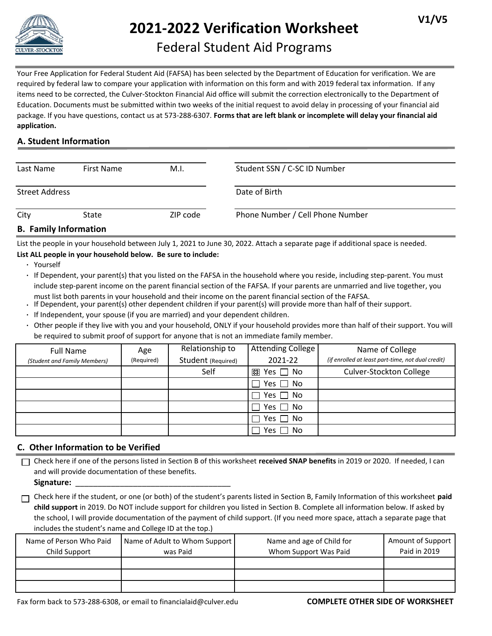

# **2021-2022 Verification Worksheet**

## Federal Student Aid Programs

Your Free Application for Federal Student Aid (FAFSA) has been selected by the Department of Education for verification. We are required by federal law to compare your application with information on this form and with 2019 federal tax information. If any items need to be corrected, the Culver-Stockton Financial Aid office will submit the correction electronically to the Department of Education. Documents must be submitted within two weeks of the initial request to avoid delay in processing of your financial aid package. If you have questions, contact us at 573-288-6307. **Forms that are left blank or incomplete will delay your financial aid application.**

#### **A. Student Information**

| Last Name                   | First Name | M.I.     | Student SSN / C-SC ID Number     |
|-----------------------------|------------|----------|----------------------------------|
| <b>Street Address</b>       |            |          | Date of Birth                    |
| City                        | State      | ZIP code | Phone Number / Cell Phone Number |
| <b>R</b> Family Information |            |          |                                  |

#### **B. Family Information**

List the people in your household between July 1, 2021 to June 30, 2022. Attach a separate page if additional space is needed.

#### **List ALL people in your household below. Be sure to include:**

**∙** Yourself

**∙** If Dependent, your parent(s) that you listed on the FAFSA in the household where you reside, including step-parent. You must include step-parent income on the parent financial section of the FAFSA. If your parents are unmarried and live together, you must list both parents in your household and their income on the parent financial section of the FAFSA.

- **∙** If Dependent, your parent(s) other dependent children if your parent(s) will provide more than half of their support.
- **∙** If Independent, your spouse (if you are married) and your dependent children.
- **∙** Other people if they live with you and your household, ONLY if your household provides more than half of their support. You will be required to submit proof of support for anyone that is not an immediate family member.

| <b>Full Name</b>             | Age        | Relationship to    | Attending College     | Name of College                                   |
|------------------------------|------------|--------------------|-----------------------|---------------------------------------------------|
| (Student and Family Members) | (Required) | Student (Required) | 2021-22               | (if enrolled at least part-time, not dual credit) |
|                              |            | Self               | Yes $\Box$ No<br>প্লে | <b>Culver-Stockton College</b>                    |
|                              |            |                    | Yes $\Box$ No         |                                                   |
|                              |            |                    | Yes $\Box$ No         |                                                   |
|                              |            |                    | Yes $\Box$ No         |                                                   |
|                              |            |                    | Yes $\Box$ No         |                                                   |
|                              |            |                    | l No<br>Yes I         |                                                   |

#### **C. Other Information to be Verified**

Check here if one of the persons listed in Section B of this worksheet **received SNAP benefits** in 2019 or 2020. If needed, I can and will provide documentation of these benefits.

**Signature:** \_\_\_\_\_\_\_\_\_\_\_\_\_\_\_\_\_\_\_\_\_\_\_\_\_\_\_\_\_\_\_\_\_\_\_

Check here if the student, or one (or both) of the student's parents listed in Section B, Family Information of this worksheet **paid child support** in 2019. Do NOT include support for children you listed in Section B. Complete all information below. If asked by the school, I will provide documentation of the payment of child support. (If you need more space, attach a separate page that includes the student's name and College ID at the top.)

| Name of Person Who Paid<br>Child Support | Name of Adult to Whom Support<br>was Paid | Name and age of Child for<br>Whom Support Was Paid | Amount of Support<br>Paid in 2019 |
|------------------------------------------|-------------------------------------------|----------------------------------------------------|-----------------------------------|
|                                          |                                           |                                                    |                                   |
|                                          |                                           |                                                    |                                   |
|                                          |                                           |                                                    |                                   |